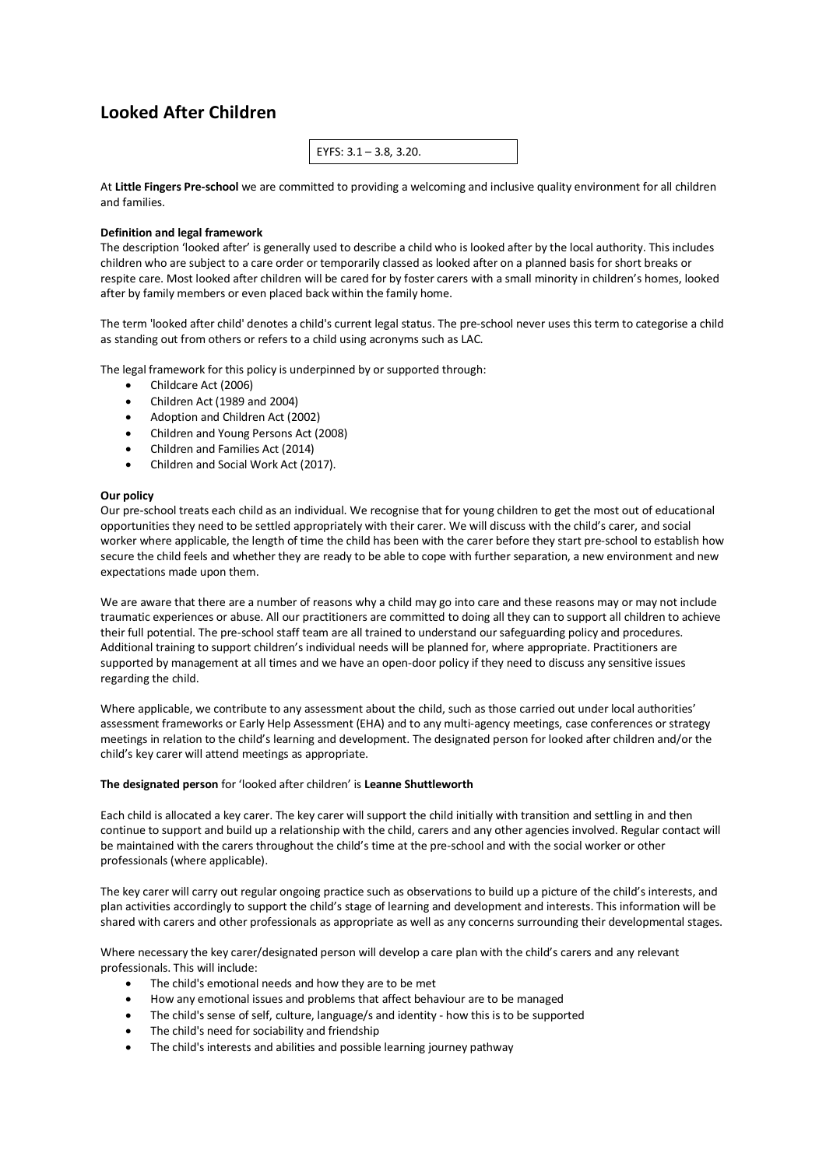# **Looked After Children**

| EYFS: $3.1 - 3.8$ , 3.20. |
|---------------------------|
|---------------------------|

At **Little Fingers Pre-school** we are committed to providing a welcoming and inclusive quality environment for all children and families.

## **Definition and legal framework**

The description 'looked after' is generally used to describe a child who is looked after by the local authority. This includes children who are subject to a care order or temporarily classed as looked after on a planned basis for short breaks or respite care. Most looked after children will be cared for by foster carers with a small minority in children's homes, looked after by family members or even placed back within the family home.

The term 'looked after child' denotes a child's current legal status. The pre-school never uses this term to categorise a child as standing out from others or refers to a child using acronyms such as LAC.

The legal framework for this policy is underpinned by or supported through:

- Childcare Act (2006)
- Children Act (1989 and 2004)
- Adoption and Children Act (2002)
- Children and Young Persons Act (2008)
- Children and Families Act (2014)
- Children and Social Work Act (2017).

## **Our policy**

Our pre-school treats each child as an individual. We recognise that for young children to get the most out of educational opportunities they need to be settled appropriately with their carer. We will discuss with the child's carer, and social worker where applicable, the length of time the child has been with the carer before they start pre-school to establish how secure the child feels and whether they are ready to be able to cope with further separation, a new environment and new expectations made upon them.

We are aware that there are a number of reasons why a child may go into care and these reasons may or may not include traumatic experiences or abuse. All our practitioners are committed to doing all they can to support all children to achieve their full potential. The pre-school staff team are all trained to understand our safeguarding policy and procedures. Additional training to support children's individual needs will be planned for, where appropriate. Practitioners are supported by management at all times and we have an open-door policy if they need to discuss any sensitive issues regarding the child.

Where applicable, we contribute to any assessment about the child, such as those carried out under local authorities' assessment frameworks or Early Help Assessment (EHA) and to any multi-agency meetings, case conferences or strategy meetings in relation to the child's learning and development. The designated person for looked after children and/or the child's key carer will attend meetings as appropriate.

#### **The designated person** for 'looked after children' is **Leanne Shuttleworth**

Each child is allocated a key carer. The key carer will support the child initially with transition and settling in and then continue to support and build up a relationship with the child, carers and any other agencies involved. Regular contact will be maintained with the carers throughout the child's time at the pre-school and with the social worker or other professionals (where applicable).

The key carer will carry out regular ongoing practice such as observations to build up a picture of the child's interests, and plan activities accordingly to support the child's stage of learning and development and interests. This information will be shared with carers and other professionals as appropriate as well as any concerns surrounding their developmental stages.

Where necessary the key carer/designated person will develop a care plan with the child's carers and any relevant professionals. This will include:

- The child's emotional needs and how they are to be met
- How any emotional issues and problems that affect behaviour are to be managed
- The child's sense of self, culture, language/s and identity how this is to be supported
- The child's need for sociability and friendship
- The child's interests and abilities and possible learning journey pathway